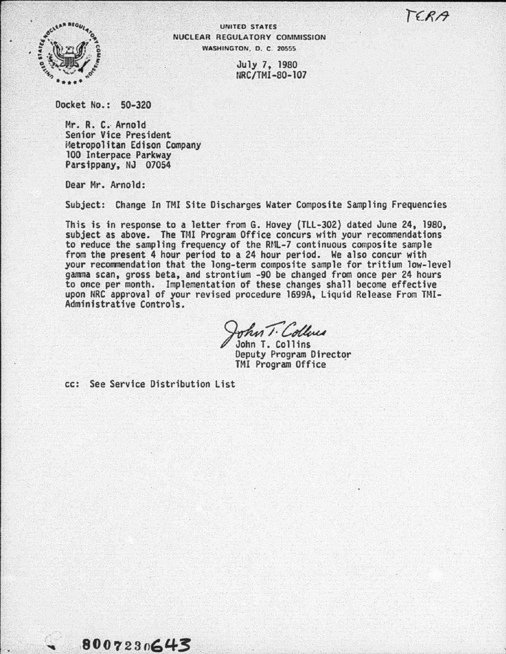$TERA$ 



UNITED STATES NUCLEAR REGULATORY COMMISSION WASHINGTON, D. C. 20555

> July 7, 1980 NRC/TMI-80-107

Docket No.: 50-320

Mr. R. C. Arnold Senior Vice President i4etropolitan Edison Company 100 Interpace Parkway Parsippany, NJ 07054

Dear Mr. Arnold:

Subject: Change In TMI Site Discharges Water Composite Sampling Frequencies

This is in response to a letter from G. Hovey (TLL-302) dated June 24, 1980, subject as above. The TMI Program Office concurs with your recommendations to reduce the sampling frequency of the Rnl-7 continuous composite sample from the present 4 hour period to a 24 hour period. We also concur with your recommendation that the long-term composite sample for tritium low-level gamma scan, gross beta, and strontium -90 be changed from once per 24 hours to once per month. Implementation of these changes shall become effective upon NRC approval of your revised procedure 1699A, Liquid Release From TMI-Administrative Controls.

John T. Collines

Deputy Program Director TMI Program Office

cc: See Service Distribution List

8007230643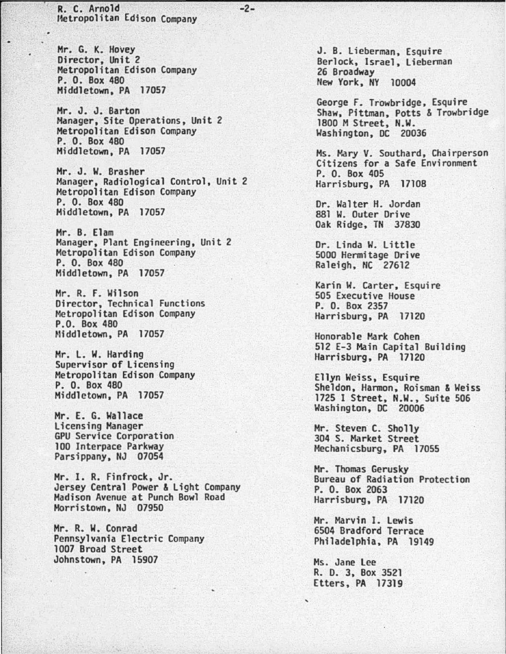R. c. Arnold -2- Hetropolitan Edison Company

Mr. G. K. Hovey Director, Unit 2 Metropolitan Edison Company P. 0. Box 480 Middletown, PA 17057

Mr. J. J. Barton Manager, Site Operations, Unit 2 Metropolitan Edison Company P. 0. Box 480 Middletown, PA 17057

Mr. J. W. Brasher Manager, Radiological Control, Unit 2 Metropolitan Edison Company P. 0. Box 480 Middletown, PA 17057

Mr. B. Elam Manager, Plant Engineering, Unit 2 Metropolitan Edison Company P. 0. Box 480 Middletown, PA 17057

Mr. R. F. Wilson Director, Technical Functions Metropolitan Edison Company P.O. Box 480 Middletown, PA 17057

Mr. L. W. Harding<br>Supervisor of Licensing<br>Metropolitan Edison Company P. 0. Box 480 Middletown, PA 17057

Mr. E. G. Wallace GPU Service Corporation<br>100 Interpace Parkway<br>Parsippany, NJ 07054

Mr. I. R. Finfrock, Jr. Jersey Central Power & Light Company Madison Avenue at Punch Bowl Road Morristown, NJ 07950

Mr. R. W. Conrad Pennsylvania Electric Company 1007 Broad Street Johnstown, PA 15907

J. B. Lieberman, Esquire<br>Berlock, Israel, Lieberman 26 Broadway New York, NY 10004

George F. Trowbridge, Esquire Shaw, Pittman, Potts & Trowbridge 1800 M Street, N.W. Washington, DC 20036

Ms. Mary V. Southard, Chairperson Citizens for a Safe Environment P. 0. Box 405 Harrisburg, PA 17108

Dr. Walter H. Jordan 881 W. Outer Drive Oak Ridge, TN 37830

Dr. linda W. Little 5000 Hermitage Drive Raleigh, NC 27612

Karin W. Carter, Esquire 505 Executive House P. 0. Box 2357 Harrisburg, PA 17120

Honorable Mark Cohen 512 E-3 Main Capital Building Harrisburg, PA 17120

Ellyn Weiss, Esquire Sheldon, Harmon, Reisman & Weiss 1725 I Street, N.W., Suite 506 Washington, DC 20006

Mr. Steven C. Sholly<br>304 S. Market Street Mechanicsburg, PA 17055

Mr. Thomas Gerusky Bureau of Radiation Protection P. 0. Box 2063 Harrisburg, PA 17120

Mr. Marvin I. lewis 6504 Bradford Terrace Philadelphia, PA 19149

Ms. Jane lee R. D. 3, Box 3521 Etters, PA 17319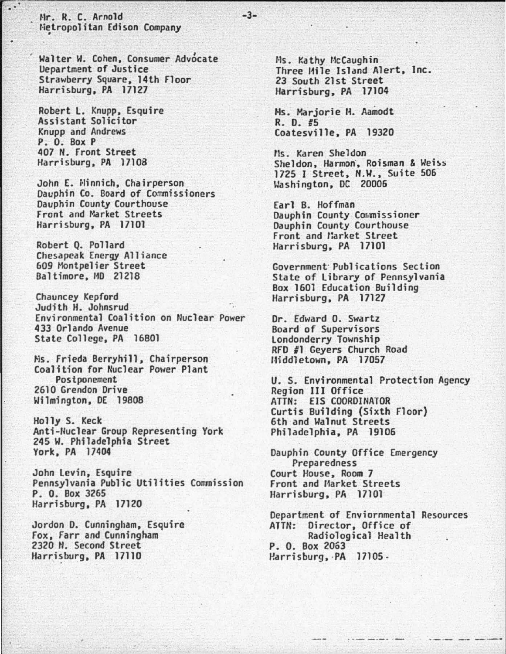Hr. R. C. Arnold Hetropolitan Edison Company

Walter W. Cohen, Consumer Advocate Uepartment of Justice Strawberry Square, 14th Floor Harrisburg, PA 17127

Robert l. Knupp, Esquire Assistant Solicitor Knupp and Andrews P. 0. Box P 407 N. front Street Harrisburg, PA 17108

John E. Minnich, Chairperson Dauphin Co. Board of Commissioners Dauphin County Courthouse Front and Market Streets Harrisburg, PA 17101

Robert Q. Pollard Chesapeak Energy Alliance 609 Montpelier Street Baltimore, 110 21218

Chauncey Kepford Judith H. Johnsrud Environmental Coalition on Nuclear Power 433 Orlando Avenue State College, PA 16801

Ms. Frieda Berryhill, Chairperson<br>Coalition for Nuclear Power Plant<br>Postoonement 2610 Grendon Drive Wilmington, DE 19808

Holly S. Keck Anti-Nuclear Group Representing York 245 W. Philadelphia Street York, PA 17404

John Levin, Esquire<br>Pennsylvania Public Utilities Commission P. 0. Box 3265 Harrisburg, PA 17120

Jordon D. Cunningham, Esquire Fox, Farr and Cunningham 2320 *H.* Second Street Harrisburg, PA 17110

Ms. Kathy McCaughin<br>Three Mile Island Alert, Inc. 23 South 21st Street Harrisburg, PA 17104

Ms. Marjorie H. Aamodt  $R. D. 45$ Coatesville, PA 19320

-3-

Ms. Karen Sheldon Sheldon, Harmon, Roisman & Weiss 1725 I Street, N.W., Suite 506 Washington, DC 20006

Earl B. Hoffman Dauphin County Commissioner Dauphin County Courthouse front and llarket Street Harrisburg, PA 17101

Government· Publications Section State of library of Pennsylvania Box 1601 Education Building Harrisburg, PA 17127

Dr. Edward 0. Swartz Londonderry Township RFD #1 Geyers Church Road Middletown, PA 17057

U. S. Environmental Protection Agency<br>Region III Office ATTN: EIS COOROINATOR Curtis Building (Sixth Floor) 6th and Walnut Streets Philadelphia, PA 19106

Dauphin County Office Emergency Preparedness Court House, Room 7 Front and Market Streets Harrisburg, PA 17101

Department of Enviornmental Resources ATTN: Director, Office of Radiological Health P. 0. Box 2053 Harrisburg, ·PA 17105 •